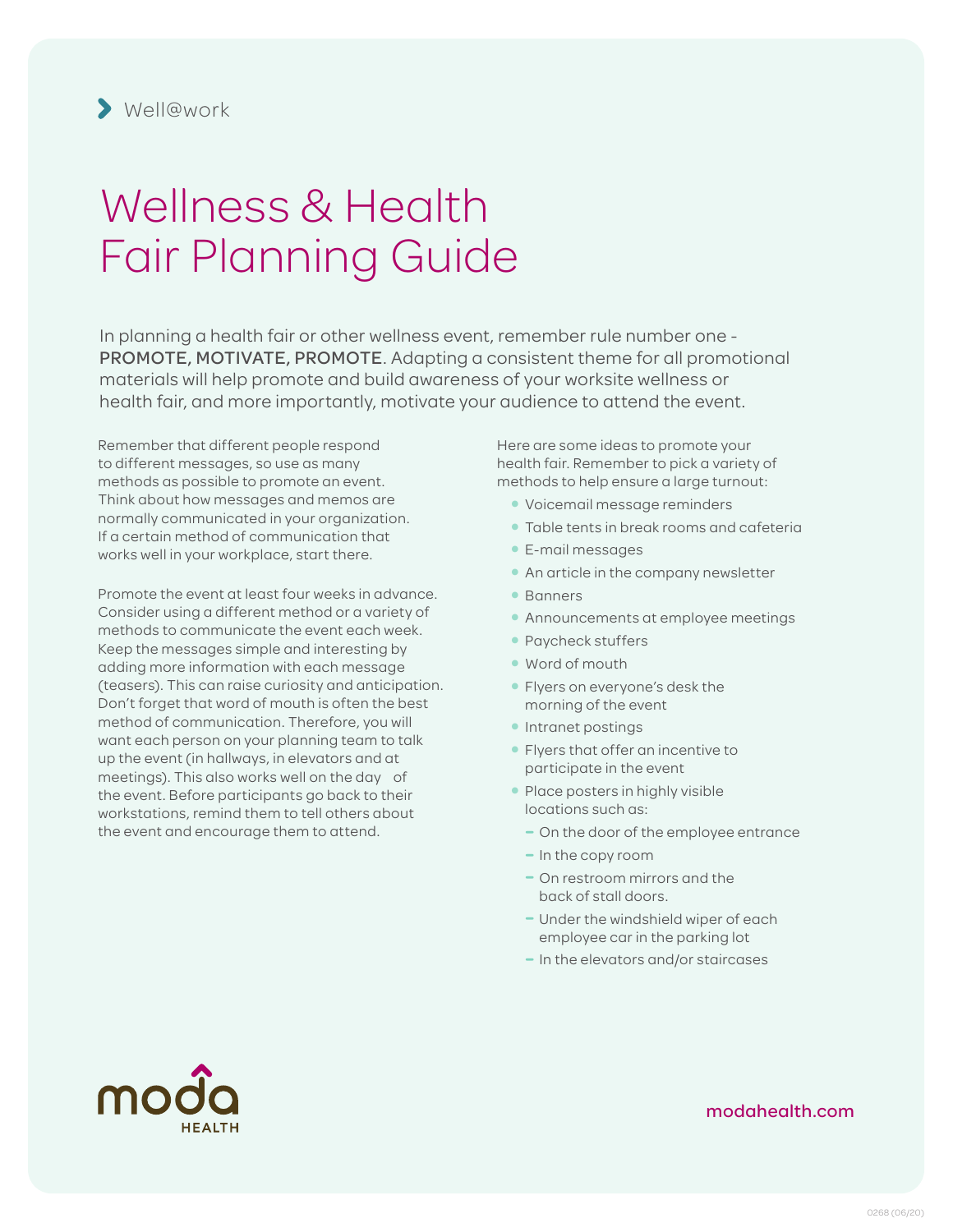# Wellness & Health Fair Planning Guide

In planning a health fair or other wellness event, remember rule number one - PROMOTE, MOTIVATE, PROMOTE. Adapting a consistent theme for all promotional materials will help promote and build awareness of your worksite wellness or health fair, and more importantly, motivate your audience to attend the event.

Remember that different people respond to different messages, so use as many methods as possible to promote an event. Think about how messages and memos are normally communicated in your organization. If a certain method of communication that works well in your workplace, start there.

Promote the event at least four weeks in advance. Consider using a different method or a variety of methods to communicate the event each week. Keep the messages simple and interesting by adding more information with each message (teasers). This can raise curiosity and anticipation. Don't forget that word of mouth is often the best method of communication. Therefore, you will want each person on your planning team to talk up the event (in hallways, in elevators and at meetings). This also works well on the day of the event. Before participants go back to their workstations, remind them to tell others about the event and encourage them to attend.

Here are some ideas to promote your health fair. Remember to pick a variety of methods to help ensure a large turnout:

- **•** Voicemail message reminders
- **•** Table tents in break rooms and cafeteria
- **•** E-mail messages
- **•** An article in the company newsletter
- **•** Banners
- **•** Announcements at employee meetings
- **•** Paycheck stuffers
- **•** Word of mouth
- **•** Flyers on everyone's desk the morning of the event
- **•** Intranet postings
- **•** Flyers that offer an incentive to participate in the event
- **•** Place posters in highly visible locations such as:
	- **−** On the door of the employee entrance
	- **−** In the copy room
	- **−** On restroom mirrors and the back of stall doors.
	- **−** Under the windshield wiper of each employee car in the parking lot
	- **−** In the elevators and/or staircases



### modahealth.com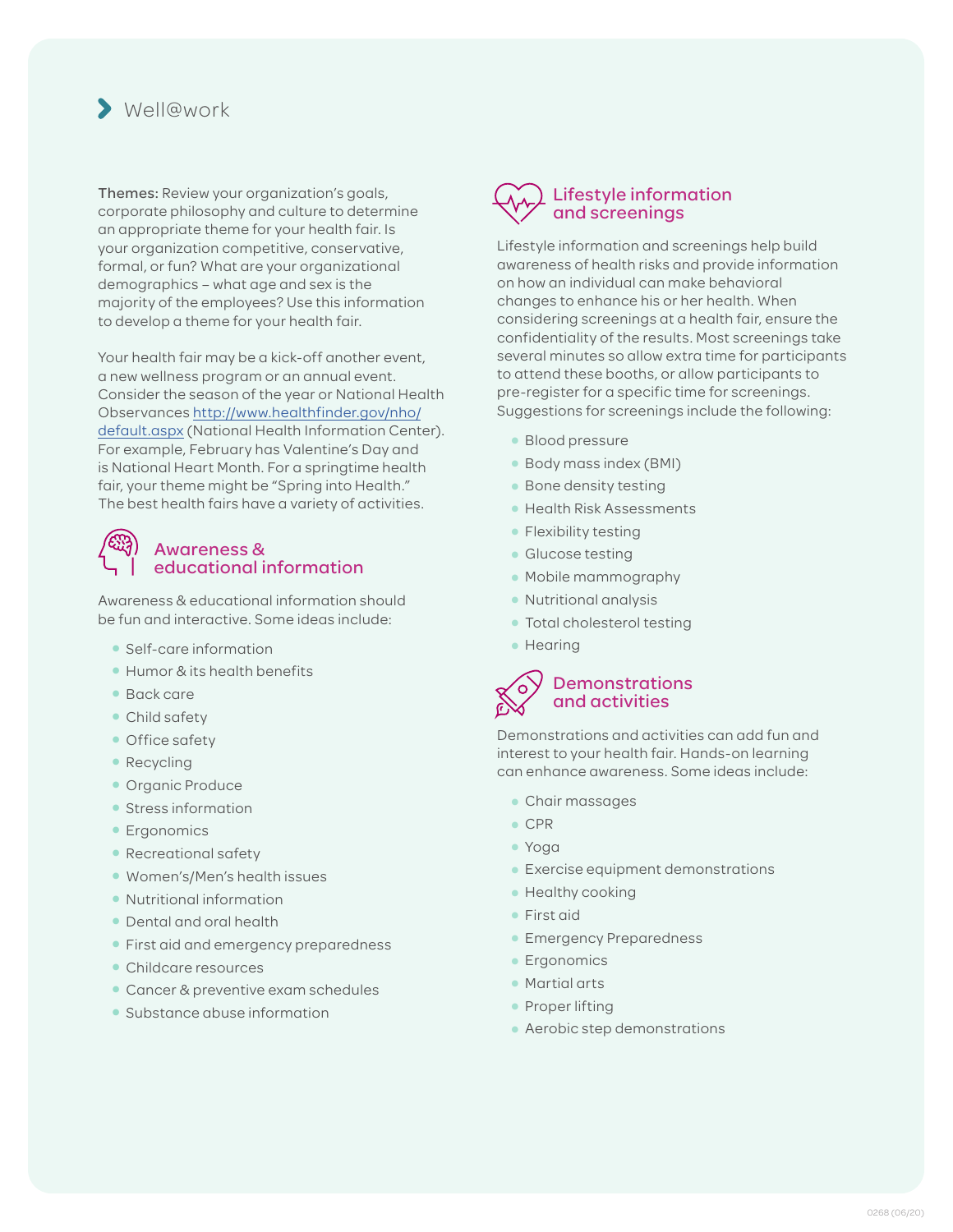Themes: Review your organization's goals, corporate philosophy and culture to determine an appropriate theme for your health fair. Is your organization competitive, conservative, formal, or fun? What are your organizational demographics – what age and sex is the majority of the employees? Use this information to develop a theme for your health fair.

Your health fair may be a kick-off another event, a new wellness program or an annual event. Consider the season of the year or National Health Observances http://www.healthfinder.gov/nho/ default.aspx (National Health Information Center). For example, February has Valentine's Day and is National Heart Month. For a springtime health fair, your theme might be "Spring into Health." The best health fairs have a variety of activities.

# Awareness & educational information

Awareness & educational information should be fun and interactive. Some ideas include:

- **•** Self-care information
- **•** Humor & its health benefits
- **•** Back care
- **•** Child safety
- **•** Office safety
- **•** Recycling
- **•** Organic Produce
- **•** Stress information
- **•** Ergonomics
- **•** Recreational safety
- **•** Women's/Men's health issues
- **•** Nutritional information
- **•** Dental and oral health
- **•** First aid and emergency preparedness
- **•** Childcare resources
- **•** Cancer & preventive exam schedules
- **•** Substance abuse information

### Lifestyle information and screenings

Lifestyle information and screenings help build awareness of health risks and provide information on how an individual can make behavioral changes to enhance his or her health. When considering screenings at a health fair, ensure the confidentiality of the results. Most screenings take several minutes so allow extra time for participants to attend these booths, or allow participants to pre-register for a specific time for screenings. Suggestions for screenings include the following:

- **•** Blood pressure
- **•** Body mass index (BMI)
- **•** Bone density testing
- **•** Health Risk Assessments
- **•** Flexibility testing
- **•** Glucose testing
- **•** Mobile mammography
- **•** Nutritional analysis
- **•** Total cholesterol testing
- **•** Hearing



Demonstrations and activities can add fun and interest to your health fair. Hands-on learning can enhance awareness. Some ideas include:

- **•** Chair massages
- **•** CPR
- **•** Yoga
- **•** Exercise equipment demonstrations
- **•** Healthy cooking
- **•** First aid
- **•** Emergency Preparedness
- **•** Ergonomics
- **•** Martial arts
- **•** Proper lifting
- **•** Aerobic step demonstrations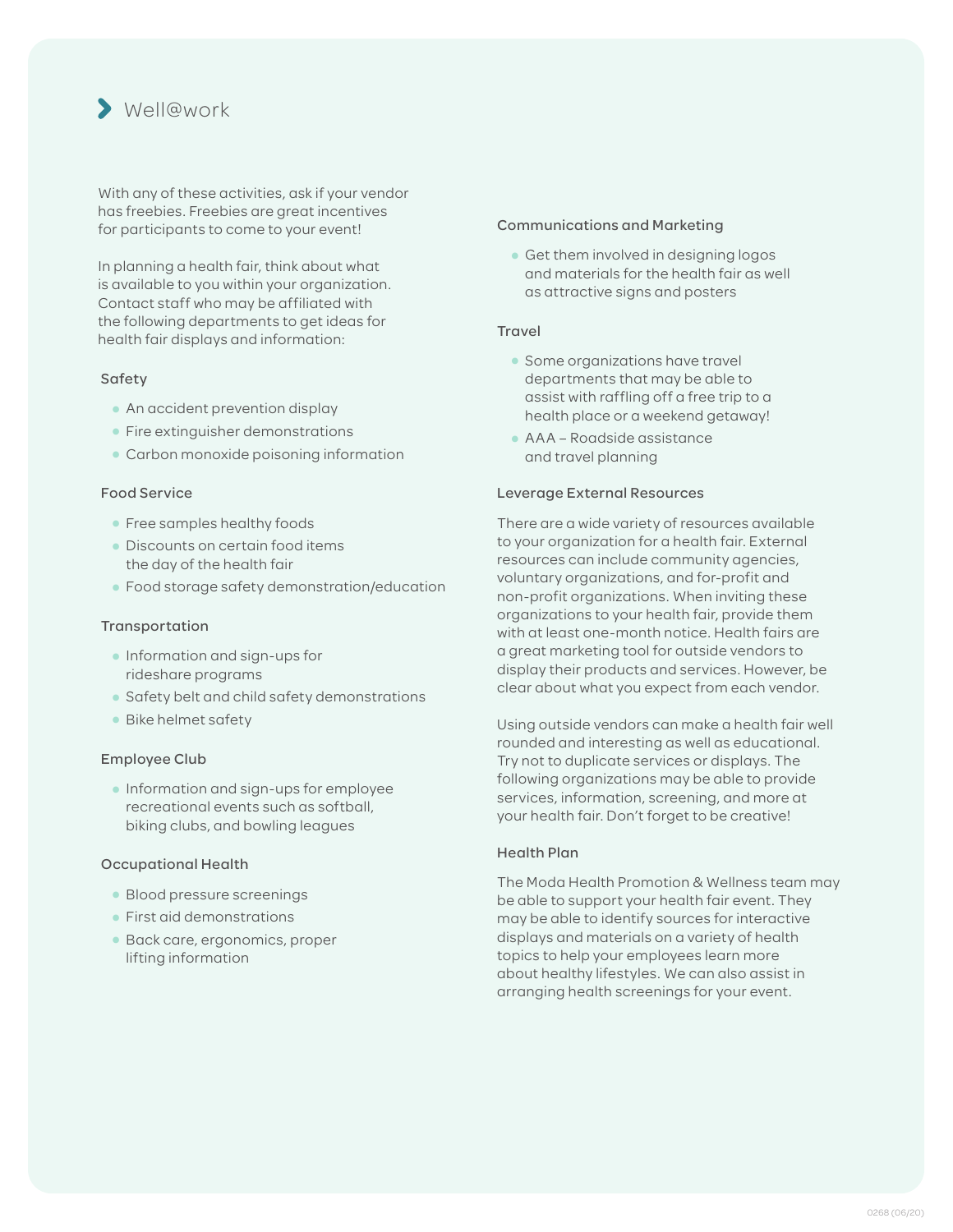With any of these activities, ask if your vendor has freebies. Freebies are great incentives for participants to come to your event!

In planning a health fair, think about what is available to you within your organization. Contact staff who may be affiliated with the following departments to get ideas for health fair displays and information:

#### Safety

- **•** An accident prevention display
- **•** Fire extinguisher demonstrations
- **•** Carbon monoxide poisoning information

#### Food Service

- **•** Free samples healthy foods
- **•** Discounts on certain food items the day of the health fair
- **•** Food storage safety demonstration/education

#### Transportation

- **•** Information and sign-ups for rideshare programs
- **•** Safety belt and child safety demonstrations
- **•** Bike helmet safety

#### Employee Club

**•** Information and sign-ups for employee recreational events such as softball, biking clubs, and bowling leagues

#### Occupational Health

- **•** Blood pressure screenings
- **•** First aid demonstrations
- **•** Back care, ergonomics, proper lifting information

#### Communications and Marketing

**•** Get them involved in designing logos and materials for the health fair as well as attractive signs and posters

#### Travel

- **•** Some organizations have travel departments that may be able to assist with raffling off a free trip to a health place or a weekend getaway!
- **•** AAA Roadside assistance and travel planning

#### Leverage External Resources

There are a wide variety of resources available to your organization for a health fair. External resources can include community agencies, voluntary organizations, and for-profit and non-profit organizations. When inviting these organizations to your health fair, provide them with at least one-month notice. Health fairs are a great marketing tool for outside vendors to display their products and services. However, be clear about what you expect from each vendor.

Using outside vendors can make a health fair well rounded and interesting as well as educational. Try not to duplicate services or displays. The following organizations may be able to provide services, information, screening, and more at your health fair. Don't forget to be creative!

#### Health Plan

The Moda Health Promotion & Wellness team may be able to support your health fair event. They may be able to identify sources for interactive displays and materials on a variety of health topics to help your employees learn more about healthy lifestyles. We can also assist in arranging health screenings for your event.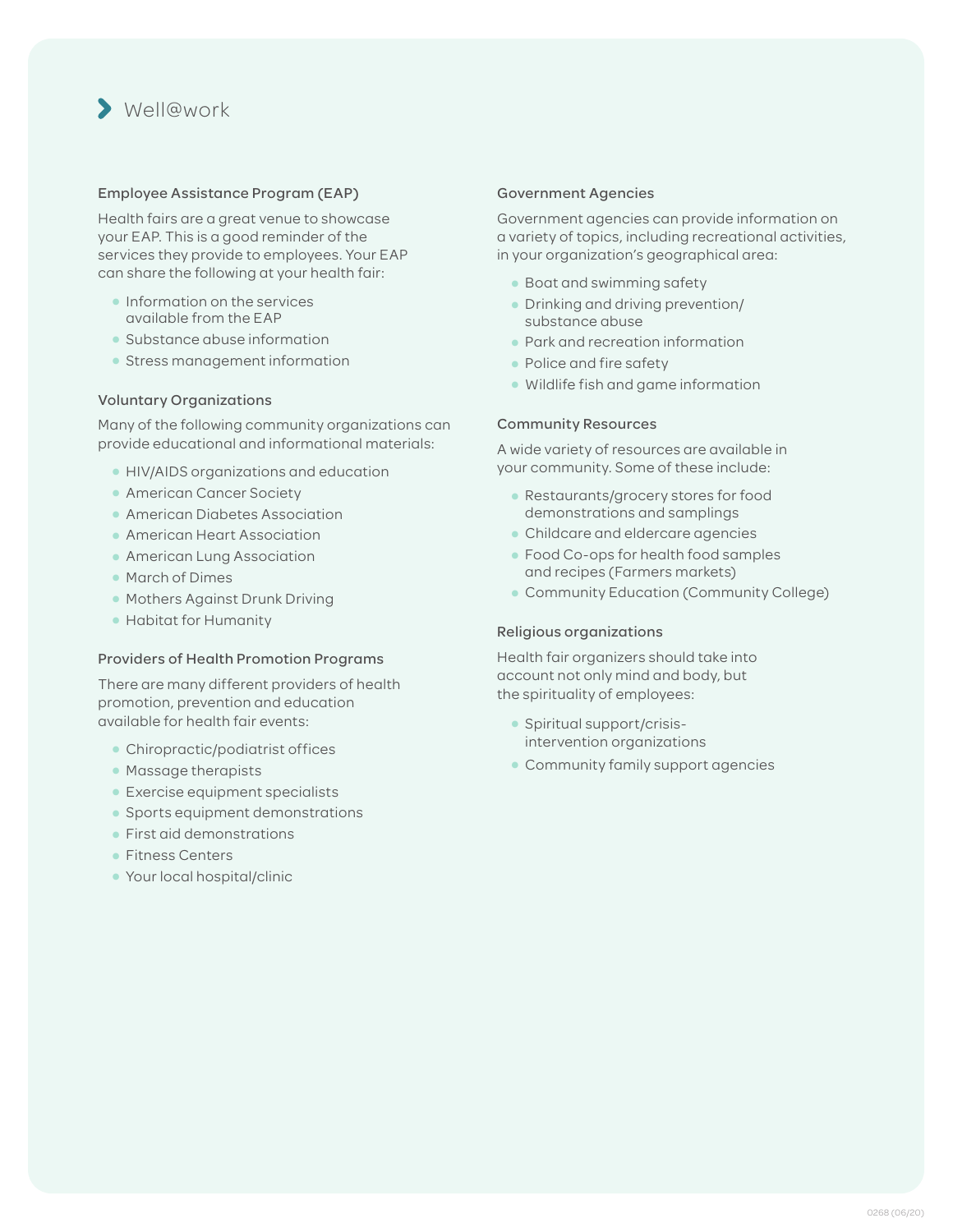#### Employee Assistance Program (EAP)

Health fairs are a great venue to showcase your EAP. This is a good reminder of the services they provide to employees. Your EAP can share the following at your health fair:

- **•** Information on the services available from the EAP
- **•** Substance abuse information
- **•** Stress management information

#### Voluntary Organizations

Many of the following community organizations can provide educational and informational materials:

- **•** HIV/AIDS organizations and education
- **•** American Cancer Society
- **•** American Diabetes Association
- **•** American Heart Association
- **•** American Lung Association
- **•** March of Dimes
- **•** Mothers Against Drunk Driving
- **•** Habitat for Humanity

#### Providers of Health Promotion Programs

There are many different providers of health promotion, prevention and education available for health fair events:

- **•** Chiropractic/podiatrist offices
- **•** Massage therapists
- **•** Exercise equipment specialists
- **•** Sports equipment demonstrations
- **•** First aid demonstrations
- **•** Fitness Centers
- **•** Your local hospital/clinic

#### Government Agencies

Government agencies can provide information on a variety of topics, including recreational activities, in your organization's geographical area:

- **•** Boat and swimming safety
- **•** Drinking and driving prevention/ substance abuse
- **•** Park and recreation information
- **•** Police and fire safety
- **•** Wildlife fish and game information

#### Community Resources

A wide variety of resources are available in your community. Some of these include:

- **•** Restaurants/grocery stores for food demonstrations and samplings
- **•** Childcare and eldercare agencies
- **•** Food Co-ops for health food samples and recipes (Farmers markets)
- **•** Community Education (Community College)

#### Religious organizations

Health fair organizers should take into account not only mind and body, but the spirituality of employees:

- **•** Spiritual support/crisisintervention organizations
- **•** Community family support agencies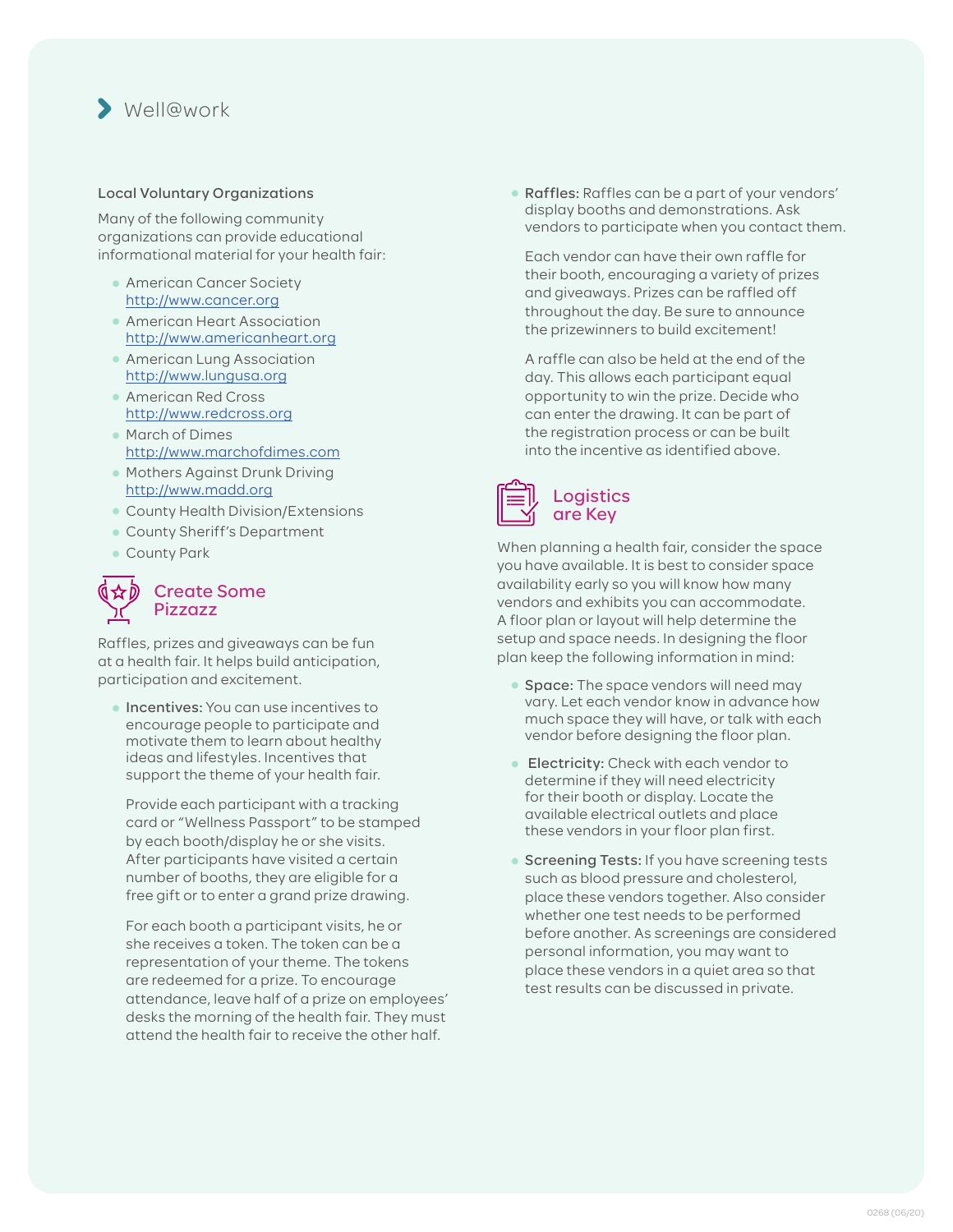#### Local Voluntary Organizations

Many of the following community organizations can provide educational informational material for your health fair:

- **•** American Cancer Society http://www.cancer.org
- **•** American Heart Association http://www.americanheart.org
- **•** American Lung Association http://www.lungusa.org
- **•** American Red Cross http://www.redcross.org
- **•** March of Dimes http://www.marchofdimes.com
- **•** Mothers Against Drunk Driving http://www.madd.org
- **•** County Health Division/Extensions
- **•** County Sheriff's Department
- **•** County Park

### Create Some Pizzazz

Raffles, prizes and giveaways can be fun at a health fair. It helps build anticipation, participation and excitement.

**•** Incentives: You can use incentives to encourage people to participate and motivate them to learn about healthy ideas and lifestyles. Incentives that support the theme of your health fair.

Provide each participant with a tracking card or "Wellness Passport" to be stamped by each booth/display he or she visits. After participants have visited a certain number of booths, they are eligible for a free gift or to enter a grand prize drawing.

For each booth a participant visits, he or she receives a token. The token can be a representation of your theme. The tokens are redeemed for a prize. To encourage attendance, leave half of a prize on employees' desks the morning of the health fair. They must attend the health fair to receive the other half.

**•** Raffles: Raffles can be a part of your vendors' display booths and demonstrations. Ask vendors to participate when you contact them.

Each vendor can have their own raffle for their booth, encouraging a variety of prizes and giveaways. Prizes can be raffled off throughout the day. Be sure to announce the prizewinners to build excitement!

A raffle can also be held at the end of the day. This allows each participant equal opportunity to win the prize. Decide who can enter the drawing. It can be part of the registration process or can be built into the incentive as identified above.



When planning a health fair, consider the space you have available. It is best to consider space availability early so you will know how many vendors and exhibits you can accommodate. A floor plan or layout will help determine the setup and space needs. In designing the floor plan keep the following information in mind:

- **•** Space: The space vendors will need may vary. Let each vendor know in advance how much space they will have, or talk with each vendor before designing the floor plan.
- **•** Electricity: Check with each vendor to determine if they will need electricity for their booth or display. Locate the available electrical outlets and place these vendors in your floor plan first.
- **•** Screening Tests: If you have screening tests such as blood pressure and cholesterol, place these vendors together. Also consider whether one test needs to be performed before another. As screenings are considered personal information, you may want to place these vendors in a quiet area so that test results can be discussed in private.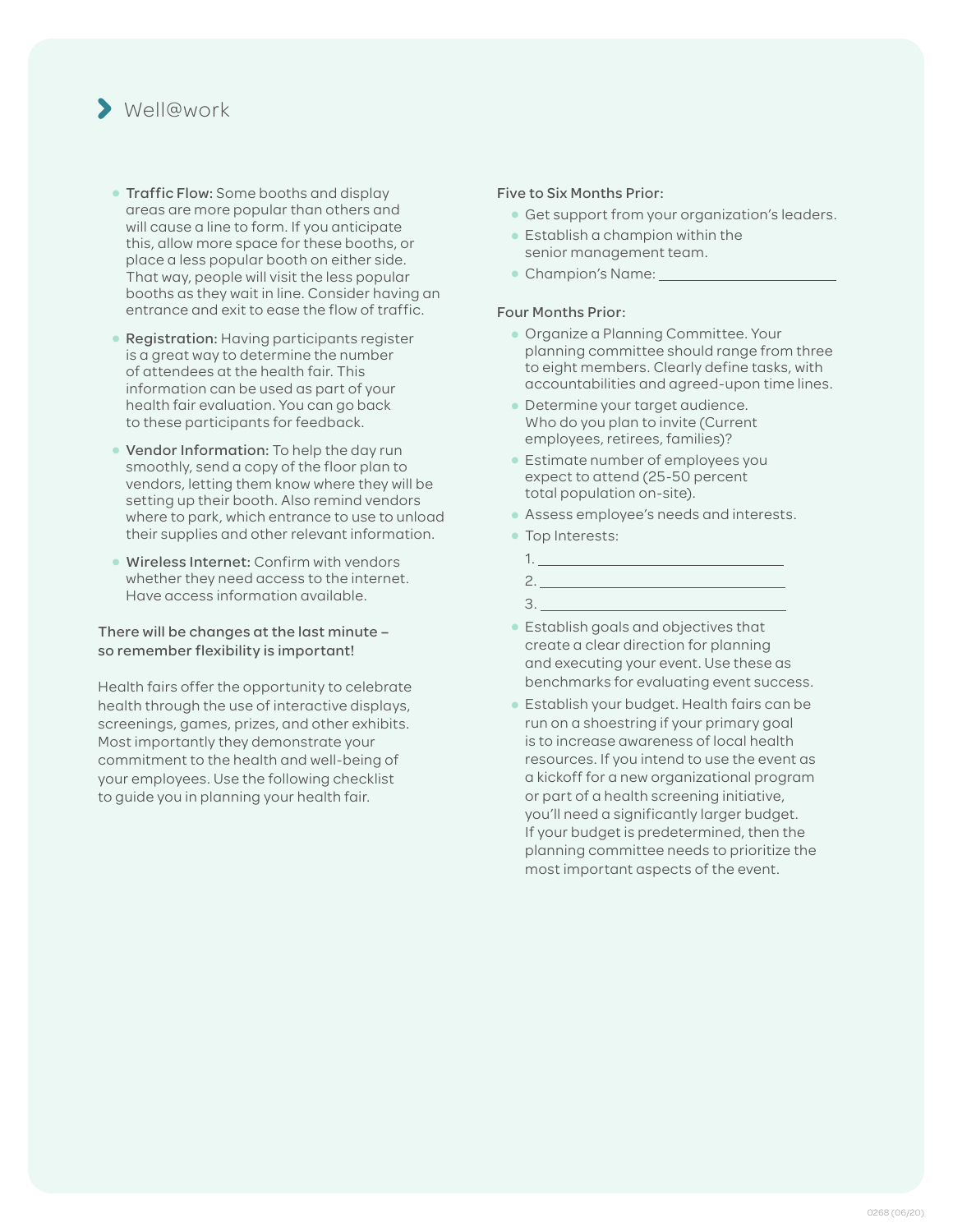- **•** Traffic Flow: Some booths and display areas are more popular than others and will cause a line to form. If you anticipate this, allow more space for these booths, or place a less popular booth on either side. That way, people will visit the less popular booths as they wait in line. Consider having an entrance and exit to ease the flow of traffic.
- **•** Registration: Having participants register is a great way to determine the number of attendees at the health fair. This information can be used as part of your health fair evaluation. You can go back to these participants for feedback.
- **•** Vendor Information: To help the day run smoothly, send a copy of the floor plan to vendors, letting them know where they will be setting up their booth. Also remind vendors where to park, which entrance to use to unload their supplies and other relevant information.
- **•** Wireless Internet: Confirm with vendors whether they need access to the internet. Have access information available.

#### There will be changes at the last minute – so remember flexibility is important!

Health fairs offer the opportunity to celebrate health through the use of interactive displays, screenings, games, prizes, and other exhibits. Most importantly they demonstrate your commitment to the health and well-being of your employees. Use the following checklist to guide you in planning your health fair.

#### Five to Six Months Prior:

- **•** Get support from your organization's leaders.
- **•** Establish a champion within the senior management team.
- **•** Champion's Name:

#### Four Months Prior:

- **•** Organize a Planning Committee. Your planning committee should range from three to eight members. Clearly define tasks, with accountabilities and agreed-upon time lines.
- **•** Determine your target audience. Who do you plan to invite (Current employees, retirees, families)?
- **•** Estimate number of employees you expect to attend (25-50 percent total population on-site).
- **•** Assess employee's needs and interests.
- **•** Top Interests:
- 1.  $2.$ 3.
- **•** Establish goals and objectives that create a clear direction for planning and executing your event. Use these as benchmarks for evaluating event success.
- **•** Establish your budget. Health fairs can be run on a shoestring if your primary goal is to increase awareness of local health resources. If you intend to use the event as a kickoff for a new organizational program or part of a health screening initiative, you'll need a significantly larger budget. If your budget is predetermined, then the planning committee needs to prioritize the most important aspects of the event.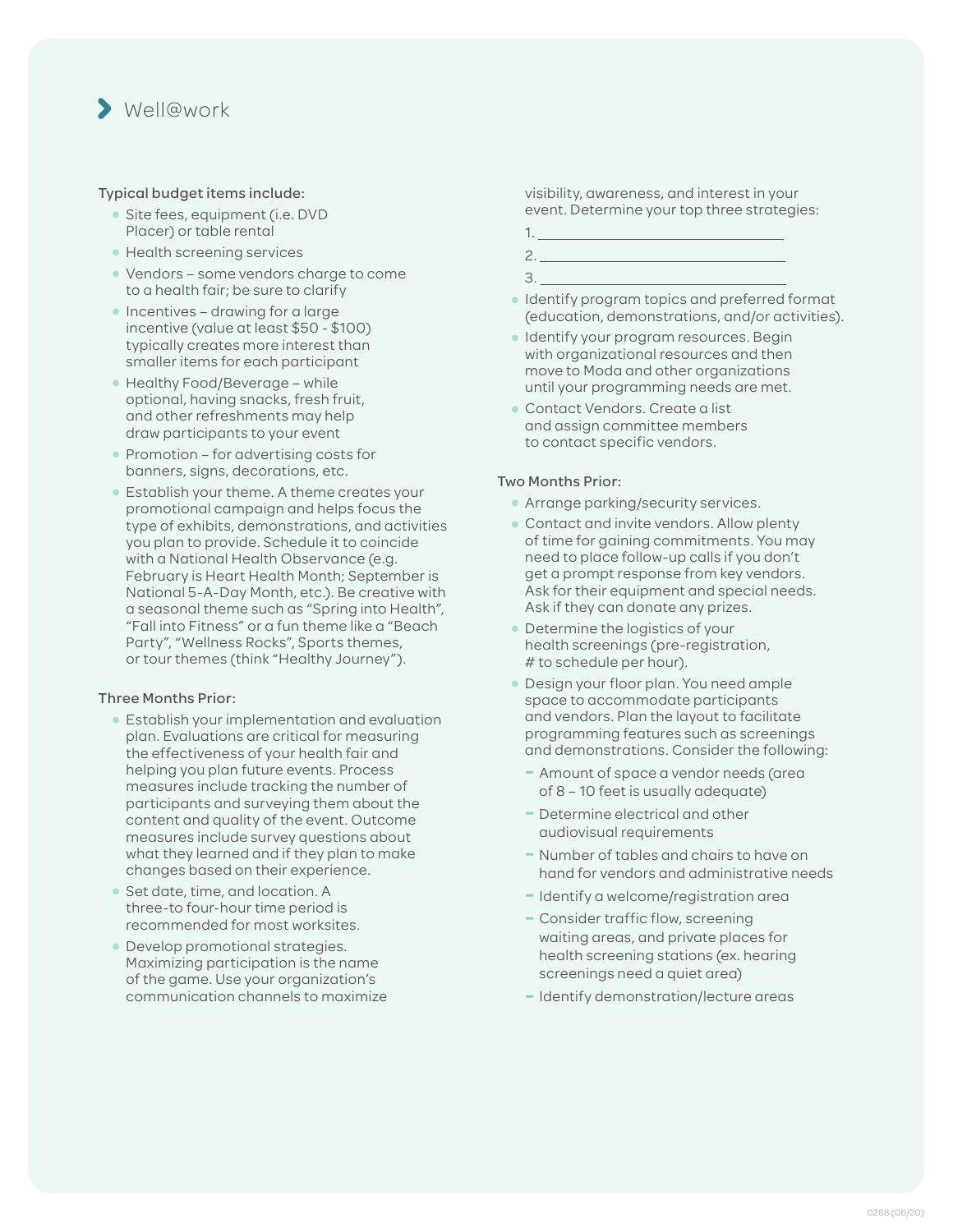

#### Typical budget items include:

- **•** Site fees, equipment (i.e. DVD Placer) or table rental
- **•** Health screening services
- **•** Vendors some vendors charge to come to a health fair; be sure to clarify
- **•** Incentives drawing for a large incentive (value at least \$50 - \$100) typically creates more interest than smaller items for each participant
- **•** Healthy Food/Beverage while optional, having snacks, fresh fruit, and other refreshments may help draw participants to your event
- **•** Promotion for advertising costs for banners, signs, decorations, etc.
- **•** Establish your theme. A theme creates your promotional campaign and helps focus the type of exhibits, demonstrations, and activities you plan to provide. Schedule it to coincide with a National Health Observance (e.g. February is Heart Health Month; September is National 5-A-Day Month, etc.). Be creative with a seasonal theme such as "Spring into Health", "Fall into Fitness" or a fun theme like a "Beach Party", "Wellness Rocks", Sports themes, or tour themes (think "Healthy Journey").

#### Three Months Prior:

- **•** Establish your implementation and evaluation plan. Evaluations are critical for measuring the effectiveness of your health fair and helping you plan future events. Process measures include tracking the number of participants and surveying them about the content and quality of the event. Outcome measures include survey questions about what they learned and if they plan to make changes based on their experience.
- **•** Set date, time, and location. A three-to four-hour time period is recommended for most worksites.
- **•** Develop promotional strategies. Maximizing participation is the name of the game. Use your organization's communication channels to maximize

visibility, awareness, and interest in your event. Determine your top three strategies:

- $1.$
- 2.
- 3.
- **•** Identify program topics and preferred format (education, demonstrations, and/or activities).
- **•** Identify your program resources. Begin with organizational resources and then move to Moda and other organizations until your programming needs are met.
- **•** Contact Vendors. Create a list and assign committee members to contact specific vendors.

#### Two Months Prior:

- **•** Arrange parking/security services.
- **•** Contact and invite vendors. Allow plenty of time for gaining commitments. You may need to place follow-up calls if you don't get a prompt response from key vendors. Ask for their equipment and special needs. Ask if they can donate any prizes.
- **•** Determine the logistics of your health screenings (pre-registration, # to schedule per hour).
- **•** Design your floor plan. You need ample space to accommodate participants and vendors. Plan the layout to facilitate programming features such as screenings and demonstrations. Consider the following:
	- **−** Amount of space a vendor needs (area of 8 – 10 feet is usually adequate)
	- **−** Determine electrical and other audiovisual requirements
	- **−** Number of tables and chairs to have on hand for vendors and administrative needs
	- **−** Identify a welcome/registration area
	- **−** Consider traffic flow, screening waiting areas, and private places for health screening stations (ex. hearing screenings need a quiet area)
	- **−** Identify demonstration/lecture areas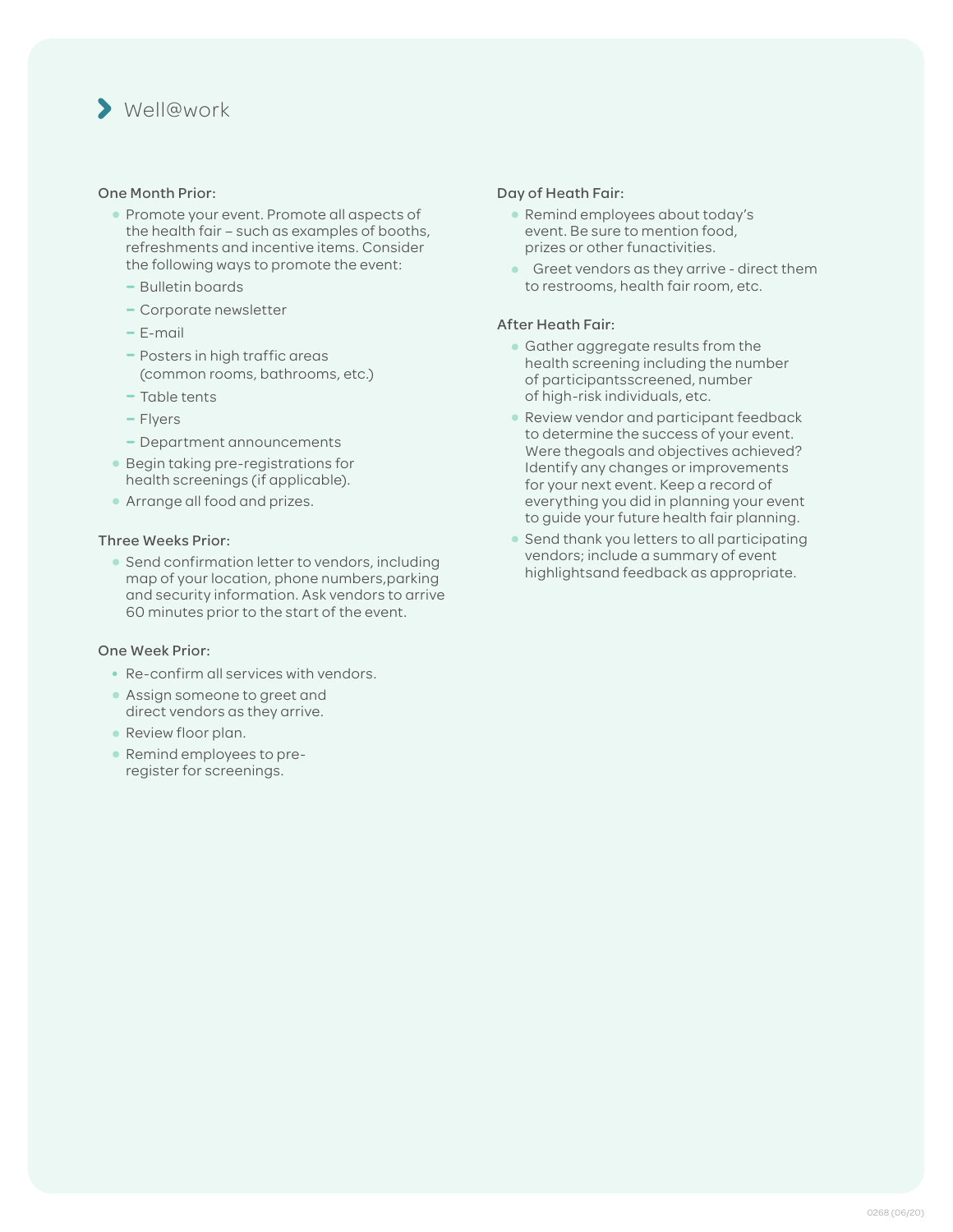#### One Month Prior:

- **•** Promote your event. Promote all aspects of the health fair – such as examples of booths, refreshments and incentive items. Consider the following ways to promote the event:
	- **−** Bulletin boards
	- **−** Corporate newsletter
	- **−** E-mail
	- **−** Posters in high traffic areas (common rooms, bathrooms, etc.)
	- **−** Table tents
	- **−** Flyers
	- **−** Department announcements
- **•** Begin taking pre-registrations for health screenings (if applicable).
- **•** Arrange all food and prizes.

#### Three Weeks Prior:

**•** Send confirmation letter to vendors, including map of your location, phone numbers,parking and security information. Ask vendors to arrive 60 minutes prior to the start of the event.

#### One Week Prior:

- **•** Re-confirm all services with vendors.
- **•** Assign someone to greet and direct vendors as they arrive.
- **•** Review floor plan.
- **•** Remind employees to preregister for screenings.

#### Day of Heath Fair:

- **•** Remind employees about today's event. Be sure to mention food, prizes or other funactivities.
- **•** Greet vendors as they arrive direct them to restrooms, health fair room, etc.

#### After Heath Fair:

- **•** Gather aggregate results from the health screening including the number of participantsscreened, number of high-risk individuals, etc.
- **•** Review vendor and participant feedback to determine the success of your event. Were thegoals and objectives achieved? Identify any changes or improvements for your next event. Keep a record of everything you did in planning your event to guide your future health fair planning.
- **•** Send thank you letters to all participating vendors; include a summary of event highlightsand feedback as appropriate.